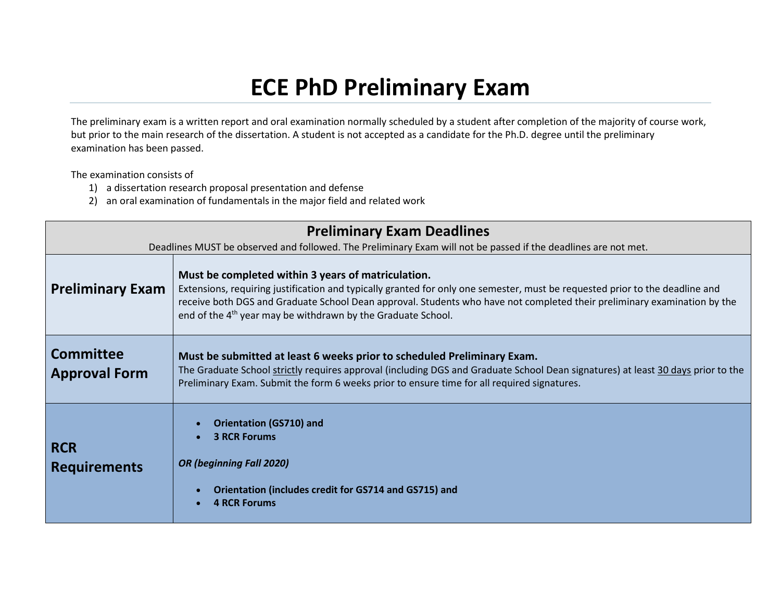## **ECE PhD Preliminary Exam**

The preliminary exam is a written report and oral examination normally scheduled by a student after completion of the majority of course work, but prior to the main research of the dissertation. A student is not accepted as a candidate for the Ph.D. degree until the preliminary examination has been passed.

The examination consists of

- 1) a dissertation research proposal presentation and defense
- 2) an oral examination of fundamentals in the major field and related work

| <b>Preliminary Exam Deadlines</b>        |                                                                                                                                                                                                                                                                                                                                                                                            |  |
|------------------------------------------|--------------------------------------------------------------------------------------------------------------------------------------------------------------------------------------------------------------------------------------------------------------------------------------------------------------------------------------------------------------------------------------------|--|
|                                          | Deadlines MUST be observed and followed. The Preliminary Exam will not be passed if the deadlines are not met.                                                                                                                                                                                                                                                                             |  |
| <b>Preliminary Exam</b>                  | Must be completed within 3 years of matriculation.<br>Extensions, requiring justification and typically granted for only one semester, must be requested prior to the deadline and<br>receive both DGS and Graduate School Dean approval. Students who have not completed their preliminary examination by the<br>end of the 4 <sup>th</sup> year may be withdrawn by the Graduate School. |  |
| <b>Committee</b><br><b>Approval Form</b> | Must be submitted at least 6 weeks prior to scheduled Preliminary Exam.<br>The Graduate School strictly requires approval (including DGS and Graduate School Dean signatures) at least 30 days prior to the<br>Preliminary Exam. Submit the form 6 weeks prior to ensure time for all required signatures.                                                                                 |  |
| <b>RCR</b><br><b>Requirements</b>        | <b>Orientation (GS710) and</b><br><b>3 RCR Forums</b><br><b>OR (beginning Fall 2020)</b><br>Orientation (includes credit for GS714 and GS715) and<br><b>4 RCR Forums</b>                                                                                                                                                                                                                   |  |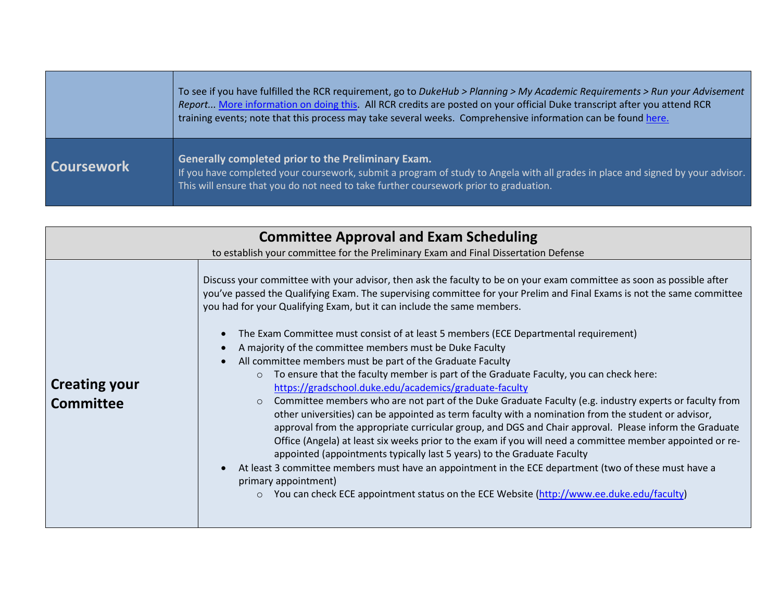|                   | To see if you have fulfilled the RCR requirement, go to DukeHub > Planning > My Academic Requirements > Run your Advisement<br>Report More information on doing this. All RCR credits are posted on your official Duke transcript after you attend RCR<br>training events; note that this process may take several weeks. Comprehensive information can be found here. |
|-------------------|------------------------------------------------------------------------------------------------------------------------------------------------------------------------------------------------------------------------------------------------------------------------------------------------------------------------------------------------------------------------|
| <b>Coursework</b> | Generally completed prior to the Preliminary Exam.<br>If you have completed your coursework, submit a program of study to Angela with all grades in place and signed by your advisor.<br>This will ensure that you do not need to take further coursework prior to graduation.                                                                                         |

| <b>Committee Approval and Exam Scheduling</b> |                                                                                                                                                                                                                                                                                                                                                                                                                                                                                                                                                                                                                                                                                                                                                                                                                                                                                                                                                                                                                                                                                                                                                                                                                                                                                                                                                                                                                                                                       |
|-----------------------------------------------|-----------------------------------------------------------------------------------------------------------------------------------------------------------------------------------------------------------------------------------------------------------------------------------------------------------------------------------------------------------------------------------------------------------------------------------------------------------------------------------------------------------------------------------------------------------------------------------------------------------------------------------------------------------------------------------------------------------------------------------------------------------------------------------------------------------------------------------------------------------------------------------------------------------------------------------------------------------------------------------------------------------------------------------------------------------------------------------------------------------------------------------------------------------------------------------------------------------------------------------------------------------------------------------------------------------------------------------------------------------------------------------------------------------------------------------------------------------------------|
|                                               | to establish your committee for the Preliminary Exam and Final Dissertation Defense                                                                                                                                                                                                                                                                                                                                                                                                                                                                                                                                                                                                                                                                                                                                                                                                                                                                                                                                                                                                                                                                                                                                                                                                                                                                                                                                                                                   |
| <b>Creating your</b><br><b>Committee</b>      | Discuss your committee with your advisor, then ask the faculty to be on your exam committee as soon as possible after<br>you've passed the Qualifying Exam. The supervising committee for your Prelim and Final Exams is not the same committee<br>you had for your Qualifying Exam, but it can include the same members.<br>The Exam Committee must consist of at least 5 members (ECE Departmental requirement)<br>A majority of the committee members must be Duke Faculty<br>All committee members must be part of the Graduate Faculty<br>To ensure that the faculty member is part of the Graduate Faculty, you can check here:<br>$\circ$<br>https://gradschool.duke.edu/academics/graduate-faculty<br>Committee members who are not part of the Duke Graduate Faculty (e.g. industry experts or faculty from<br>$\circ$<br>other universities) can be appointed as term faculty with a nomination from the student or advisor,<br>approval from the appropriate curricular group, and DGS and Chair approval. Please inform the Graduate<br>Office (Angela) at least six weeks prior to the exam if you will need a committee member appointed or re-<br>appointed (appointments typically last 5 years) to the Graduate Faculty<br>At least 3 committee members must have an appointment in the ECE department (two of these must have a<br>primary appointment)<br>You can check ECE appointment status on the ECE Website (http://www.ee.duke.edu/faculty) |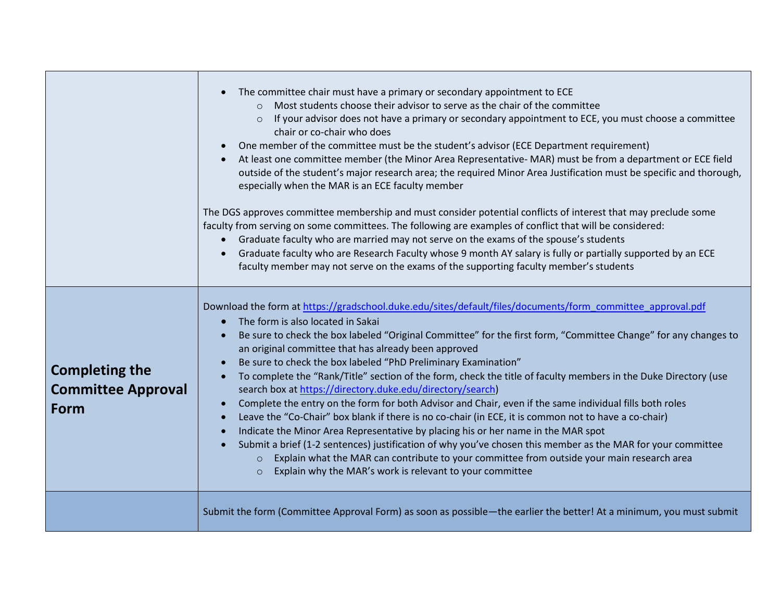|                                                                   | The committee chair must have a primary or secondary appointment to ECE<br>Most students choose their advisor to serve as the chair of the committee<br>$\Omega$<br>If your advisor does not have a primary or secondary appointment to ECE, you must choose a committee<br>$\circ$<br>chair or co-chair who does<br>One member of the committee must be the student's advisor (ECE Department requirement)<br>At least one committee member (the Minor Area Representative- MAR) must be from a department or ECE field<br>outside of the student's major research area; the required Minor Area Justification must be specific and thorough,<br>especially when the MAR is an ECE faculty member<br>The DGS approves committee membership and must consider potential conflicts of interest that may preclude some<br>faculty from serving on some committees. The following are examples of conflict that will be considered:<br>Graduate faculty who are married may not serve on the exams of the spouse's students<br>Graduate faculty who are Research Faculty whose 9 month AY salary is fully or partially supported by an ECE<br>faculty member may not serve on the exams of the supporting faculty member's students         |
|-------------------------------------------------------------------|------------------------------------------------------------------------------------------------------------------------------------------------------------------------------------------------------------------------------------------------------------------------------------------------------------------------------------------------------------------------------------------------------------------------------------------------------------------------------------------------------------------------------------------------------------------------------------------------------------------------------------------------------------------------------------------------------------------------------------------------------------------------------------------------------------------------------------------------------------------------------------------------------------------------------------------------------------------------------------------------------------------------------------------------------------------------------------------------------------------------------------------------------------------------------------------------------------------------------------------|
| <b>Completing the</b><br><b>Committee Approval</b><br><b>Form</b> | Download the form at https://gradschool.duke.edu/sites/default/files/documents/form_committee_approval.pdf<br>The form is also located in Sakai<br>$\bullet$<br>Be sure to check the box labeled "Original Committee" for the first form, "Committee Change" for any changes to<br>an original committee that has already been approved<br>Be sure to check the box labeled "PhD Preliminary Examination"<br>$\bullet$<br>To complete the "Rank/Title" section of the form, check the title of faculty members in the Duke Directory (use<br>search box at https://directory.duke.edu/directory/search)<br>Complete the entry on the form for both Advisor and Chair, even if the same individual fills both roles<br>$\bullet$<br>Leave the "Co-Chair" box blank if there is no co-chair (in ECE, it is common not to have a co-chair)<br>$\bullet$<br>Indicate the Minor Area Representative by placing his or her name in the MAR spot<br>Submit a brief (1-2 sentences) justification of why you've chosen this member as the MAR for your committee<br>Explain what the MAR can contribute to your committee from outside your main research area<br>$\circ$<br>Explain why the MAR's work is relevant to your committee<br>$\circ$ |
|                                                                   | Submit the form (Committee Approval Form) as soon as possible-the earlier the better! At a minimum, you must submit                                                                                                                                                                                                                                                                                                                                                                                                                                                                                                                                                                                                                                                                                                                                                                                                                                                                                                                                                                                                                                                                                                                      |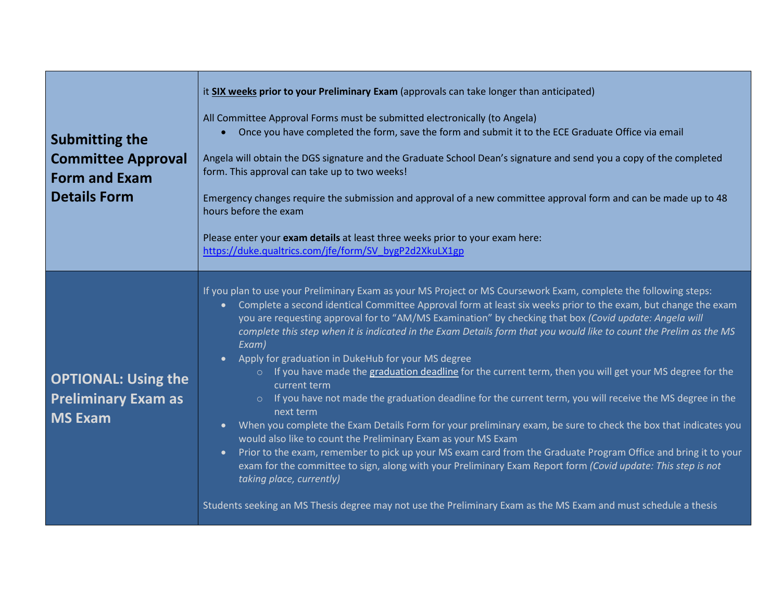| <b>Submitting the</b><br><b>Committee Approval</b><br><b>Form and Exam</b><br><b>Details Form</b> | it SIX weeks prior to your Preliminary Exam (approvals can take longer than anticipated)<br>All Committee Approval Forms must be submitted electronically (to Angela)<br>Once you have completed the form, save the form and submit it to the ECE Graduate Office via email<br>Angela will obtain the DGS signature and the Graduate School Dean's signature and send you a copy of the completed<br>form. This approval can take up to two weeks!<br>Emergency changes require the submission and approval of a new committee approval form and can be made up to 48<br>hours before the exam<br>Please enter your exam details at least three weeks prior to your exam here:<br>https://duke.qualtrics.com/jfe/form/SV_bygP2d2XkuLX1gp                                                                                                                                                                                                                                                                                                                                                                                                                                                                                                                                                                                                                                                            |
|---------------------------------------------------------------------------------------------------|-----------------------------------------------------------------------------------------------------------------------------------------------------------------------------------------------------------------------------------------------------------------------------------------------------------------------------------------------------------------------------------------------------------------------------------------------------------------------------------------------------------------------------------------------------------------------------------------------------------------------------------------------------------------------------------------------------------------------------------------------------------------------------------------------------------------------------------------------------------------------------------------------------------------------------------------------------------------------------------------------------------------------------------------------------------------------------------------------------------------------------------------------------------------------------------------------------------------------------------------------------------------------------------------------------------------------------------------------------------------------------------------------------|
| <b>OPTIONAL: Using the</b><br><b>Preliminary Exam as</b><br><b>MS Exam</b>                        | If you plan to use your Preliminary Exam as your MS Project or MS Coursework Exam, complete the following steps:<br>Complete a second identical Committee Approval form at least six weeks prior to the exam, but change the exam<br>$\bullet$<br>you are requesting approval for to "AM/MS Examination" by checking that box (Covid update: Angela will<br>complete this step when it is indicated in the Exam Details form that you would like to count the Prelim as the MS<br>Exam)<br>Apply for graduation in DukeHub for your MS degree<br>o If you have made the graduation deadline for the current term, then you will get your MS degree for the<br>current term<br>o If you have not made the graduation deadline for the current term, you will receive the MS degree in the<br>next term<br>When you complete the Exam Details Form for your preliminary exam, be sure to check the box that indicates you<br>$\bullet$<br>would also like to count the Preliminary Exam as your MS Exam<br>Prior to the exam, remember to pick up your MS exam card from the Graduate Program Office and bring it to your<br>$\bullet$<br>exam for the committee to sign, along with your Preliminary Exam Report form (Covid update: This step is not<br>taking place, currently)<br>Students seeking an MS Thesis degree may not use the Preliminary Exam as the MS Exam and must schedule a thesis |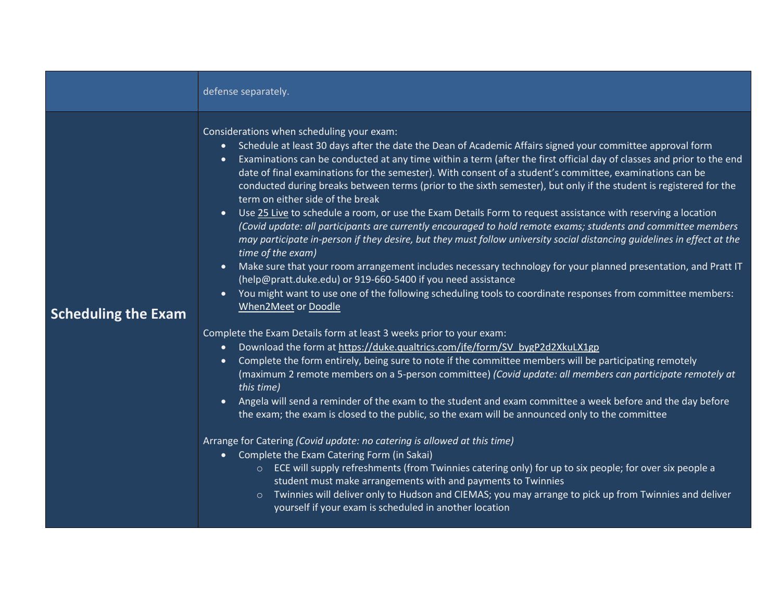|                            | defense separately.                                                                                                                                                                                                                                                                                                                                                                                                                                                                                                                                                                                                                                                                                                                                                                                                                                                                                                                                                                                                                                                                                                                                                                                                                                                                                                                                                                                                                                                                                                                                                                                                                                                                                                                                                                                                                                                                                                                                                                                                                                                                                                                                                                                                                                                                                                                                                                                                                                             |
|----------------------------|-----------------------------------------------------------------------------------------------------------------------------------------------------------------------------------------------------------------------------------------------------------------------------------------------------------------------------------------------------------------------------------------------------------------------------------------------------------------------------------------------------------------------------------------------------------------------------------------------------------------------------------------------------------------------------------------------------------------------------------------------------------------------------------------------------------------------------------------------------------------------------------------------------------------------------------------------------------------------------------------------------------------------------------------------------------------------------------------------------------------------------------------------------------------------------------------------------------------------------------------------------------------------------------------------------------------------------------------------------------------------------------------------------------------------------------------------------------------------------------------------------------------------------------------------------------------------------------------------------------------------------------------------------------------------------------------------------------------------------------------------------------------------------------------------------------------------------------------------------------------------------------------------------------------------------------------------------------------------------------------------------------------------------------------------------------------------------------------------------------------------------------------------------------------------------------------------------------------------------------------------------------------------------------------------------------------------------------------------------------------------------------------------------------------------------------------------------------------|
| <b>Scheduling the Exam</b> | Considerations when scheduling your exam:<br>Schedule at least 30 days after the date the Dean of Academic Affairs signed your committee approval form<br>$\bullet$<br>Examinations can be conducted at any time within a term (after the first official day of classes and prior to the end<br>$\bullet$<br>date of final examinations for the semester). With consent of a student's committee, examinations can be<br>conducted during breaks between terms (prior to the sixth semester), but only if the student is registered for the<br>term on either side of the break<br>Use 25 Live to schedule a room, or use the Exam Details Form to request assistance with reserving a location<br>$\bullet$<br>(Covid update: all participants are currently encouraged to hold remote exams; students and committee members<br>may participate in-person if they desire, but they must follow university social distancing guidelines in effect at the<br>time of the exam)<br>Make sure that your room arrangement includes necessary technology for your planned presentation, and Pratt IT<br>$\bullet$<br>(help@pratt.duke.edu) or 919-660-5400 if you need assistance<br>You might want to use one of the following scheduling tools to coordinate responses from committee members:<br>$\bullet$<br>When2Meet or Doodle<br>Complete the Exam Details form at least 3 weeks prior to your exam:<br>Download the form at https://duke.qualtrics.com/jfe/form/SV_bygP2d2XkuLX1gp<br>$\bullet$<br>Complete the form entirely, being sure to note if the committee members will be participating remotely<br>$\bullet$<br>(maximum 2 remote members on a 5-person committee) (Covid update: all members can participate remotely at<br>this time)<br>Angela will send a reminder of the exam to the student and exam committee a week before and the day before<br>$\bullet$<br>the exam; the exam is closed to the public, so the exam will be announced only to the committee<br>Arrange for Catering (Covid update: no catering is allowed at this time)<br>• Complete the Exam Catering Form (in Sakai)<br>○ ECE will supply refreshments (from Twinnies catering only) for up to six people; for over six people a<br>student must make arrangements with and payments to Twinnies<br>o Twinnies will deliver only to Hudson and CIEMAS; you may arrange to pick up from Twinnies and deliver<br>yourself if your exam is scheduled in another location |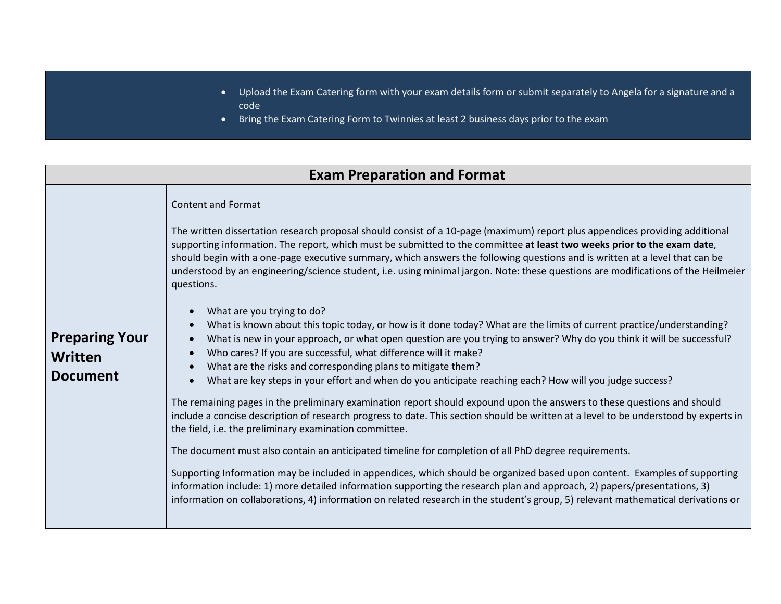- Upload the Exam Catering form with your exam details form or submit separately to Angela for a signature and a code
- Bring the Exam Catering Form to Twinnies at least 2 business days prior to the exam

## **Exam Preparation and Format Preparing Your Written Document** Content and Format The written dissertation research proposal should consist of a 10-page (maximum) report plus appendices providing additional supporting information. The report, which must be submitted to the committee **at least two weeks prior to the exam date**, should begin with a one-page executive summary, which answers the following questions and is written at a level that can be understood by an engineering/science student, i.e. using minimal jargon. Note: these questions are modifications of the Heilmeier questions. • What are you trying to do? • What is known about this topic today, or how is it done today? What are the limits of current practice/understanding? • What is new in your approach, or what open question are you trying to answer? Why do you think it will be successful? • Who cares? If you are successful, what difference will it make? What are the risks and corresponding plans to mitigate them? • What are key steps in your effort and when do you anticipate reaching each? How will you judge success? The remaining pages in the preliminary examination report should expound upon the answers to these questions and should include a concise description of research progress to date. This section should be written at a level to be understood by experts in the field, i.e. the preliminary examination committee. The document must also contain an anticipated timeline for completion of all PhD degree requirements. Supporting Information may be included in appendices, which should be organized based upon content. Examples of supporting information include: 1) more detailed information supporting the research plan and approach, 2) papers/presentations, 3) information on collaborations, 4) information on related research in the student's group, 5) relevant mathematical derivations or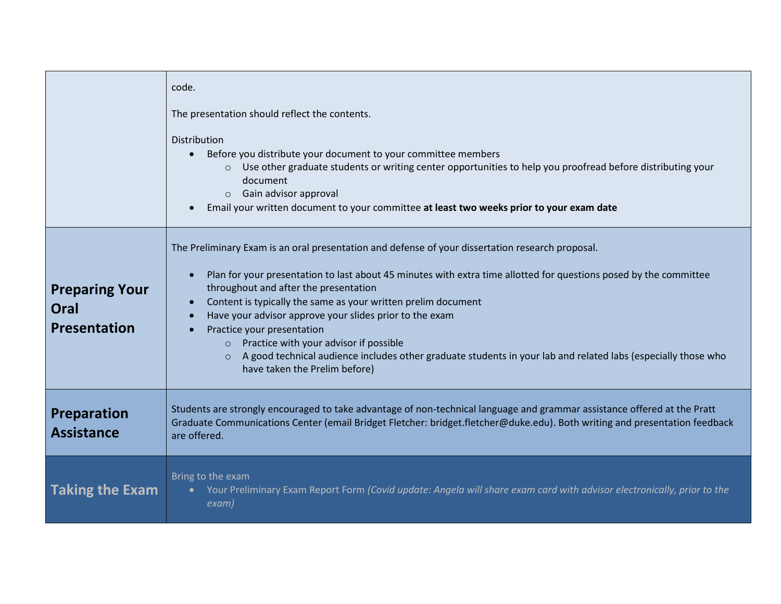|                                                      | code.<br>The presentation should reflect the contents.<br>Distribution                                                                                                                                                                                                                                                                                                                                                                                                                                                                                                                                                                                                |
|------------------------------------------------------|-----------------------------------------------------------------------------------------------------------------------------------------------------------------------------------------------------------------------------------------------------------------------------------------------------------------------------------------------------------------------------------------------------------------------------------------------------------------------------------------------------------------------------------------------------------------------------------------------------------------------------------------------------------------------|
|                                                      | Before you distribute your document to your committee members<br>$\bullet$<br>Use other graduate students or writing center opportunities to help you proofread before distributing your<br>$\circ$<br>document<br>$\circ$ Gain advisor approval<br>Email your written document to your committee at least two weeks prior to your exam date<br>$\bullet$                                                                                                                                                                                                                                                                                                             |
| <b>Preparing Your</b><br>Oral<br><b>Presentation</b> | The Preliminary Exam is an oral presentation and defense of your dissertation research proposal.<br>Plan for your presentation to last about 45 minutes with extra time allotted for questions posed by the committee<br>$\bullet$<br>throughout and after the presentation<br>Content is typically the same as your written prelim document<br>$\bullet$<br>Have your advisor approve your slides prior to the exam<br>$\bullet$<br>Practice your presentation<br>$\circ$ Practice with your advisor if possible<br>o A good technical audience includes other graduate students in your lab and related labs (especially those who<br>have taken the Prelim before) |
| <b>Preparation</b><br><b>Assistance</b>              | Students are strongly encouraged to take advantage of non-technical language and grammar assistance offered at the Pratt<br>Graduate Communications Center (email Bridget Fletcher: bridget.fletcher@duke.edu). Both writing and presentation feedback<br>are offered.                                                                                                                                                                                                                                                                                                                                                                                                |
| <b>Taking the Exam</b>                               | Bring to the exam<br>Your Preliminary Exam Report Form (Covid update: Angela will share exam card with advisor electronically, prior to the<br>$\bullet$<br>exam)                                                                                                                                                                                                                                                                                                                                                                                                                                                                                                     |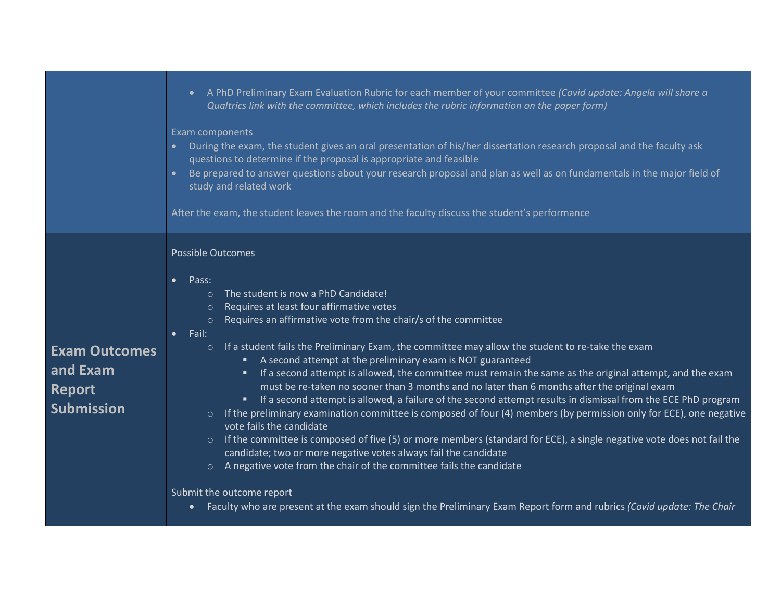|                                                                        | • A PhD Preliminary Exam Evaluation Rubric for each member of your committee (Covid update: Angela will share a<br>Qualtrics link with the committee, which includes the rubric information on the paper form)<br>Exam components<br>• During the exam, the student gives an oral presentation of his/her dissertation research proposal and the faculty ask<br>questions to determine if the proposal is appropriate and feasible<br>Be prepared to answer questions about your research proposal and plan as well as on fundamentals in the major field of<br>study and related work<br>After the exam, the student leaves the room and the faculty discuss the student's performance                                                                                                                                                                                                                                                                                                                                                                                                                                                                                                                                                                                                                                                                                                            |
|------------------------------------------------------------------------|----------------------------------------------------------------------------------------------------------------------------------------------------------------------------------------------------------------------------------------------------------------------------------------------------------------------------------------------------------------------------------------------------------------------------------------------------------------------------------------------------------------------------------------------------------------------------------------------------------------------------------------------------------------------------------------------------------------------------------------------------------------------------------------------------------------------------------------------------------------------------------------------------------------------------------------------------------------------------------------------------------------------------------------------------------------------------------------------------------------------------------------------------------------------------------------------------------------------------------------------------------------------------------------------------------------------------------------------------------------------------------------------------|
| <b>Exam Outcomes</b><br>and Exam<br><b>Report</b><br><b>Submission</b> | Possible Outcomes<br>Pass:<br>$\bullet$<br>The student is now a PhD Candidate!<br>$\circ$<br>Requires at least four affirmative votes<br>$\circ$<br>Requires an affirmative vote from the chair/s of the committee<br>$\circ$<br>Fail:<br>If a student fails the Preliminary Exam, the committee may allow the student to re-take the exam<br>$\circ$<br>A second attempt at the preliminary exam is NOT guaranteed<br>٠<br>" If a second attempt is allowed, the committee must remain the same as the original attempt, and the exam<br>must be re-taken no sooner than 3 months and no later than 6 months after the original exam<br>If a second attempt is allowed, a failure of the second attempt results in dismissal from the ECE PhD program<br>$\blacksquare$<br>If the preliminary examination committee is composed of four (4) members (by permission only for ECE), one negative<br>$\circ$<br>vote fails the candidate<br>If the committee is composed of five (5) or more members (standard for ECE), a single negative vote does not fail the<br>$\circ$<br>candidate; two or more negative votes always fail the candidate<br>A negative vote from the chair of the committee fails the candidate<br>$\circ$<br>Submit the outcome report<br>Faculty who are present at the exam should sign the Preliminary Exam Report form and rubrics (Covid update: The Chair<br>$\bullet$ |